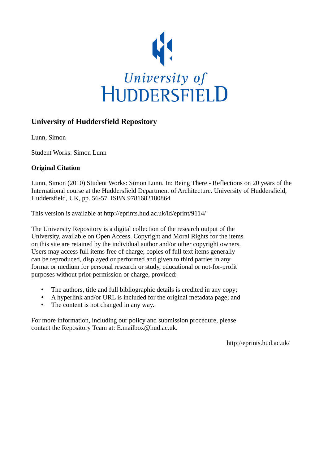

## **University of Huddersfield Repository**

Lunn, Simon

Student Works: Simon Lunn

## **Original Citation**

Lunn, Simon (2010) Student Works: Simon Lunn. In: Being There - Reflections on 20 years of the International course at the Huddersfield Department of Architecture. University of Huddersfield, Huddersfield, UK, pp. 56-57. ISBN 9781682180864

This version is available at http://eprints.hud.ac.uk/id/eprint/9114/

The University Repository is a digital collection of the research output of the University, available on Open Access. Copyright and Moral Rights for the items on this site are retained by the individual author and/or other copyright owners. Users may access full items free of charge; copies of full text items generally can be reproduced, displayed or performed and given to third parties in any format or medium for personal research or study, educational or not-for-profit purposes without prior permission or charge, provided:

- The authors, title and full bibliographic details is credited in any copy;
- A hyperlink and/or URL is included for the original metadata page; and
- The content is not changed in any way.

For more information, including our policy and submission procedure, please contact the Repository Team at: E.mailbox@hud.ac.uk.

http://eprints.hud.ac.uk/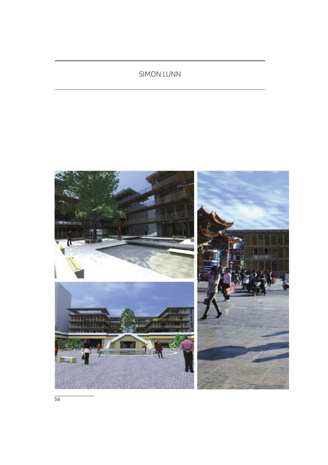## SIMON LUNN